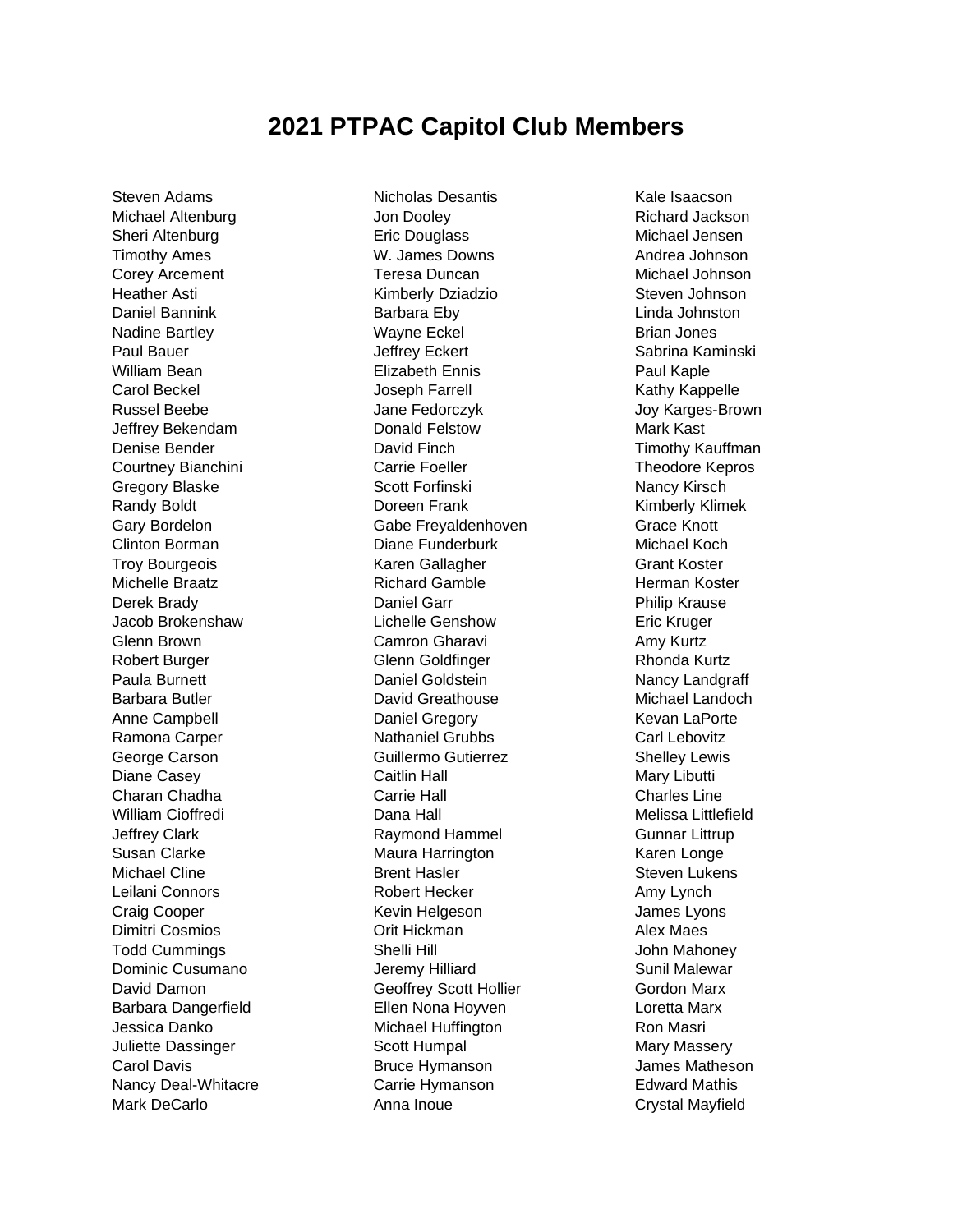## **2021 PTPAC Capitol Club Members**

Steven Adams Michael Altenburg Sheri Altenburg Timothy Ames Corey Arcement Heather Asti Daniel Bannink Nadine Bartley Paul Bauer William Bean Carol Beckel Russel Beebe Jeffrey Bekendam Denise Bender Courtney Bianchini Gregory Blaske Randy Boldt Gary Bordelon Clinton Borman Troy Bourgeois Michelle Braatz Derek Brady Jacob Brokenshaw Glenn Brown Robert Burger Paula Burnett Barbara Butler Anne Campbell Ramona Carper George Carson Diane Casey Charan Chadha William Cioffredi Jeffrey Clark Susan Clarke Michael Cline Leilani Connors Craig Cooper Dimitri Cosmios Todd Cummings Dominic Cusumano David Damon Barbara Dangerfield Jessica Danko Juliette Dassinger Carol Davis Nancy Deal-Whitacre Mark DeCarlo

Nicholas Desantis Jon Dooley Eric Douglass W. James Downs Teresa Duncan Kimberly Dziadzio Barbara Eby Wayne Eckel Jeffrey Eckert Elizabeth Ennis Joseph Farrell Jane Fedorczyk Donald Felstow David Finch Carrie Foeller Scott Forfinski Doreen Frank Gabe Freyaldenhoven Diane Funderburk Karen Gallagher Richard Gamble Daniel Garr Lichelle Genshow Camron Gharavi Glenn Goldfinger Daniel Goldstein David Greathouse Daniel Gregory Nathaniel Grubbs Guillermo Gutierrez Caitlin Hall Carrie Hall Dana Hall Raymond Hammel Maura Harrington Brent Hasler Robert Hecker Kevin Helgeson Orit Hickman Shelli Hill Jeremy Hilliard Geoffrey Scott Hollier Ellen Nona Hoyven Michael Huffington Scott Humpal Bruce Hymanson Carrie Hymanson Anna Inoue

Kale Isaacson Richard Jackson Michael Jensen Andrea Johnson Michael Johnson Steven Johnson Linda Johnston Brian Jones Sabrina Kaminski Paul Kaple Kathy Kappelle Joy Karges-Brown Mark Kast Timothy Kauffman Theodore Kepros Nancy Kirsch Kimberly Klimek Grace Knott Michael Koch Grant Koster Herman Koster Philip Krause Eric Kruger Amy Kurtz Rhonda Kurtz Nancy Landgraff Michael Landoch Kevan LaPorte Carl Lebovitz Shelley Lewis Mary Libutti Charles Line Melissa Littlefield Gunnar Littrup Karen Longe Steven Lukens Amy Lynch James Lyons Alex Maes John Mahoney Sunil Malewar Gordon Marx Loretta Marx Ron Masri Mary Massery James Matheson Edward Mathis Crystal Mayfield